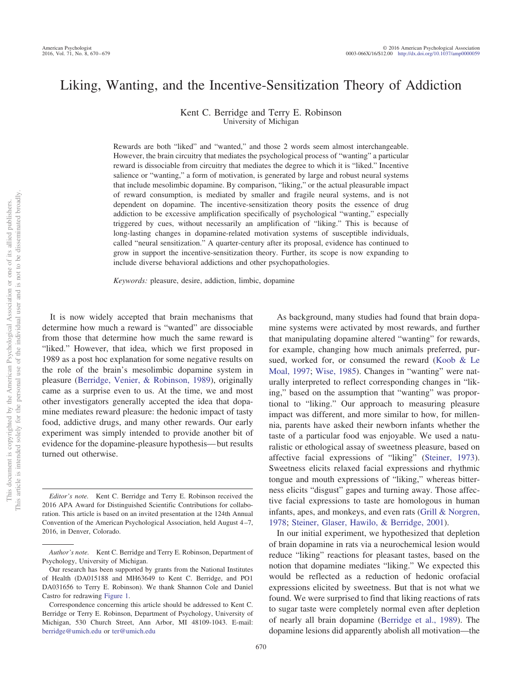# Liking, Wanting, and the Incentive-Sensitization Theory of Addiction

Kent C. Berridge and Terry E. Robinson University of Michigan

Rewards are both "liked" and "wanted," and those 2 words seem almost interchangeable. However, the brain circuitry that mediates the psychological process of "wanting" a particular reward is dissociable from circuitry that mediates the degree to which it is "liked." Incentive salience or "wanting," a form of motivation, is generated by large and robust neural systems that include mesolimbic dopamine. By comparison, "liking," or the actual pleasurable impact of reward consumption, is mediated by smaller and fragile neural systems, and is not dependent on dopamine. The incentive-sensitization theory posits the essence of drug addiction to be excessive amplification specifically of psychological "wanting," especially triggered by cues, without necessarily an amplification of "liking." This is because of long-lasting changes in dopamine-related motivation systems of susceptible individuals, called "neural sensitization." A quarter-century after its proposal, evidence has continued to grow in support the incentive-sensitization theory. Further, its scope is now expanding to include diverse behavioral addictions and other psychopathologies.

*Keywords:* pleasure, desire, addiction, limbic, dopamine

It is now widely accepted that brain mechanisms that determine how much a reward is "wanted" are dissociable from those that determine how much the same reward is "liked." However, that idea, which we first proposed in 1989 as a post hoc explanation for some negative results on the role of the brain's mesolimbic dopamine system in pleasure [\(Berridge, Venier, & Robinson, 1989\)](#page-7-0), originally came as a surprise even to us. At the time, we and most other investigators generally accepted the idea that dopamine mediates reward pleasure: the hedonic impact of tasty food, addictive drugs, and many other rewards. Our early experiment was simply intended to provide another bit of evidence for the dopamine-pleasure hypothesis— but results turned out otherwise.

As background, many studies had found that brain dopamine systems were activated by most rewards, and further that manipulating dopamine altered "wanting" for rewards, for example, changing how much animals preferred, pursued, worked for, or consumed the reward [\(Koob & Le](#page-7-1) [Moal, 1997;](#page-7-1) [Wise, 1985\)](#page-9-0). Changes in "wanting" were naturally interpreted to reflect corresponding changes in "liking," based on the assumption that "wanting" was proportional to "liking." Our approach to measuring pleasure impact was different, and more similar to how, for millennia, parents have asked their newborn infants whether the taste of a particular food was enjoyable. We used a naturalistic or ethological assay of sweetness pleasure, based on affective facial expressions of "liking" [\(Steiner, 1973\)](#page-9-1). Sweetness elicits relaxed facial expressions and rhythmic tongue and mouth expressions of "liking," whereas bitterness elicits "disgust" gapes and turning away. Those affective facial expressions to taste are homologous in human infants, apes, and monkeys, and even rats [\(Grill & Norgren,](#page-7-2) [1978;](#page-7-2) [Steiner, Glaser, Hawilo, & Berridge, 2001\)](#page-9-2).

In our initial experiment, we hypothesized that depletion of brain dopamine in rats via a neurochemical lesion would reduce "liking" reactions for pleasant tastes, based on the notion that dopamine mediates "liking." We expected this would be reflected as a reduction of hedonic orofacial expressions elicited by sweetness. But that is not what we found. We were surprised to find that liking reactions of rats to sugar taste were completely normal even after depletion of nearly all brain dopamine [\(Berridge et al., 1989\)](#page-7-0). The dopamine lesions did apparently abolish all motivation—the

*Editor's note.* Kent C. Berridge and Terry E. Robinson received the 2016 APA Award for Distinguished Scientific Contributions for collaboration. This article is based on an invited presentation at the 124th Annual Convention of the American Psychological Association, held August 4 –7, 2016, in Denver, Colorado.

*Author's note.* Kent C. Berridge and Terry E. Robinson, Department of Psychology, University of Michigan.

Our research has been supported by grants from the National Institutes of Health (DA015188 and MH63649 to Kent C. Berridge, and PO1 DA031656 to Terry E. Robinson). We thank Shannon Cole and Daniel Castro for redrawing [Figure 1.](#page-1-0)

Correspondence concerning this article should be addressed to Kent C. Berridge or Terry E. Robinson, Department of Psychology, University of Michigan, 530 Church Street, Ann Arbor, MI 48109-1043. E-mail: [berridge@umich.edu](mailto:berridge@umich.edu) or [ter@umich.edu](mailto:ter@umich.edu)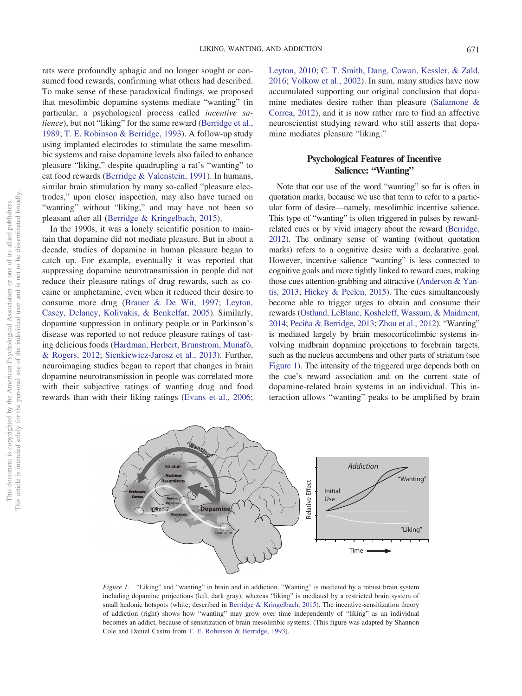rats were profoundly aphagic and no longer sought or consumed food rewards, confirming what others had described. To make sense of these paradoxical findings, we proposed that mesolimbic dopamine systems mediate "wanting" (in particular, a psychological process called *incentive salience*), but not "liking" for the same reward [\(Berridge et al.,](#page-7-0) [1989;](#page-7-0) [T. E. Robinson & Berridge, 1993\)](#page-8-0). A follow-up study using implanted electrodes to stimulate the same mesolimbic systems and raise dopamine levels also failed to enhance pleasure "liking," despite quadrupling a rat's "wanting" to eat food rewards [\(Berridge & Valenstein, 1991\)](#page-7-3). In humans, similar brain stimulation by many so-called "pleasure electrodes," upon closer inspection, may also have turned on "wanting" without "liking," and may have not been so pleasant after all [\(Berridge & Kringelbach, 2015\)](#page-7-4).

In the 1990s, it was a lonely scientific position to maintain that dopamine did not mediate pleasure. But in about a decade, studies of dopamine in human pleasure began to catch up. For example, eventually it was reported that suppressing dopamine neurotransmission in people did not reduce their pleasure ratings of drug rewards, such as cocaine or amphetamine, even when it reduced their desire to consume more drug [\(Brauer & De Wit, 1997;](#page-7-5) [Leyton,](#page-8-1) [Casey, Delaney, Kolivakis, & Benkelfat, 2005\)](#page-8-1). Similarly, dopamine suppression in ordinary people or in Parkinson's disease was reported to not reduce pleasure ratings of tasting delicious foods [\(Hardman, Herbert, Brunstrom, Munafò,](#page-7-6) [& Rogers, 2012;](#page-7-6) [Sienkiewicz-Jarosz et al., 2013\)](#page-9-3). Further, neuroimaging studies began to report that changes in brain dopamine neurotransmission in people was correlated more with their subjective ratings of wanting drug and food rewards than with their liking ratings [\(Evans et al., 2006;](#page-7-7) [Leyton, 2010;](#page-8-2) [C. T. Smith, Dang, Cowan, Kessler, & Zald,](#page-9-4) [2016;](#page-9-4) [Volkow et al., 2002\)](#page-9-5). In sum, many studies have now accumulated supporting our original conclusion that dopamine mediates desire rather than pleasure [\(Salamone &](#page-9-6) [Correa, 2012\)](#page-9-6), and it is now rather rare to find an affective neuroscientist studying reward who still asserts that dopamine mediates pleasure "liking."

# **Psychological Features of Incentive Salience: "Wanting"**

Note that our use of the word "wanting" so far is often in quotation marks, because we use that term to refer to a particular form of desire—namely, mesolimbic incentive salience. This type of "wanting" is often triggered in pulses by rewardrelated cues or by vivid imagery about the reward [\(Berridge,](#page-6-0) [2012\)](#page-6-0). The ordinary sense of wanting (without quotation marks) refers to a cognitive desire with a declarative goal. However, incentive salience "wanting" is less connected to cognitive goals and more tightly linked to reward cues, making those cues attention-grabbing and attractive [\(Anderson & Yan](#page-6-1)[tis, 2013;](#page-6-1) [Hickey & Peelen, 2015\)](#page-7-8). The cues simultaneously become able to trigger urges to obtain and consume their rewards [\(Ostlund, LeBlanc, Kosheleff, Wassum, & Maidment,](#page-8-3) [2014;](#page-8-3) [Peciña & Berridge, 2013;](#page-8-4) [Zhou et al., 2012\)](#page-9-7). "Wanting" is mediated largely by brain mesocorticolimbic systems involving midbrain dopamine projections to forebrain targets, such as the nucleus accumbens and other parts of striatum (see [Figure 1\)](#page-1-0). The intensity of the triggered urge depends both on the cue's reward association and on the current state of dopamine-related brain systems in an individual. This interaction allows "wanting" peaks to be amplified by brain



<span id="page-1-0"></span>*Figure 1.* "Liking" and "wanting" in brain and in addiction. "Wanting" is mediated by a robust brain system including dopamine projections (left, dark gray), whereas "liking" is mediated by a restricted brain system of small hedonic hotspots (white; described in [Berridge & Kringelbach, 2015\)](#page-7-4). The incentive-sensitization theory of addiction (right) shows how "wanting" may grow over time independently of "liking" as an individual becomes an addict, because of sensitization of brain mesolimbic systems. (This figure was adapted by Shannon Cole and Daniel Castro from [T. E. Robinson & Berridge, 1993\)](#page-8-0).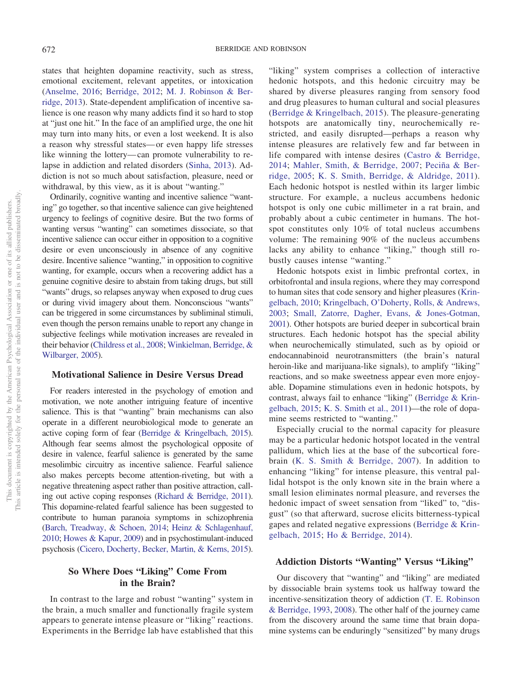states that heighten dopamine reactivity, such as stress, emotional excitement, relevant appetites, or intoxication [\(Anselme, 2016;](#page-6-2) [Berridge, 2012;](#page-6-0) [M. J. Robinson & Ber](#page-8-5)[ridge, 2013\)](#page-8-5). State-dependent amplification of incentive salience is one reason why many addicts find it so hard to stop at "just one hit." In the face of an amplified urge, the one hit may turn into many hits, or even a lost weekend. It is also a reason why stressful states— or even happy life stresses like winning the lottery— can promote vulnerability to relapse in addiction and related disorders [\(Sinha, 2013\)](#page-9-8). Addiction is not so much about satisfaction, pleasure, need or withdrawal, by this view, as it is about "wanting."

Ordinarily, cognitive wanting and incentive salience "wanting" go together, so that incentive salience can give heightened urgency to feelings of cognitive desire. But the two forms of wanting versus "wanting" can sometimes dissociate, so that incentive salience can occur either in opposition to a cognitive desire or even unconsciously in absence of any cognitive desire. Incentive salience "wanting," in opposition to cognitive wanting, for example, occurs when a recovering addict has a genuine cognitive desire to abstain from taking drugs, but still "wants" drugs, so relapses anyway when exposed to drug cues or during vivid imagery about them. Nonconscious "wants" can be triggered in some circumstances by subliminal stimuli, even though the person remains unable to report any change in subjective feelings while motivation increases are revealed in their behavior [\(Childress et al., 2008;](#page-7-9) [Winkielman, Berridge, &](#page-9-9) [Wilbarger, 2005\)](#page-9-9).

### **Motivational Salience in Desire Versus Dread**

For readers interested in the psychology of emotion and motivation, we note another intriguing feature of incentive salience. This is that "wanting" brain mechanisms can also operate in a different neurobiological mode to generate an active coping form of fear [\(Berridge & Kringelbach, 2015\)](#page-7-4). Although fear seems almost the psychological opposite of desire in valence, fearful salience is generated by the same mesolimbic circuitry as incentive salience. Fearful salience also makes percepts become attention-riveting, but with a negative threatening aspect rather than positive attraction, calling out active coping responses [\(Richard & Berridge, 2011\)](#page-8-6). This dopamine-related fearful salience has been suggested to contribute to human paranoia symptoms in schizophrenia [\(Barch, Treadway, & Schoen, 2014;](#page-6-3) [Heinz & Schlagenhauf,](#page-7-10) [2010;](#page-7-10) [Howes & Kapur, 2009\)](#page-7-11) and in psychostimulant-induced psychosis [\(Cicero, Docherty, Becker, Martin, & Kerns, 2015\)](#page-7-12).

# **So Where Does "Liking" Come From in the Brain?**

In contrast to the large and robust "wanting" system in the brain, a much smaller and functionally fragile system appears to generate intense pleasure or "liking" reactions. Experiments in the Berridge lab have established that this

"liking" system comprises a collection of interactive hedonic hotspots, and this hedonic circuitry may be shared by diverse pleasures ranging from sensory food and drug pleasures to human cultural and social pleasures [\(Berridge & Kringelbach, 2015\)](#page-7-4). The pleasure-generating hotspots are anatomically tiny, neurochemically restricted, and easily disrupted—perhaps a reason why intense pleasures are relatively few and far between in life compared with intense desires [\(Castro & Berridge,](#page-7-13) [2014;](#page-7-13) [Mahler, Smith, & Berridge, 2007;](#page-8-7) [Peciña & Ber](#page-8-8)[ridge, 2005;](#page-8-8) [K. S. Smith, Berridge, & Aldridge, 2011\)](#page-9-10). Each hedonic hotspot is nestled within its larger limbic structure. For example, a nucleus accumbens hedonic hotspot is only one cubic millimeter in a rat brain, and probably about a cubic centimeter in humans. The hotspot constitutes only 10% of total nucleus accumbens volume: The remaining 90% of the nucleus accumbens lacks any ability to enhance "liking," though still robustly causes intense "wanting."

Hedonic hotspots exist in limbic prefrontal cortex, in orbitofrontal and insula regions, where they may correspond to human sites that code sensory and higher pleasures [\(Krin](#page-7-14)[gelbach, 2010;](#page-7-14) [Kringelbach, O'Doherty, Rolls, & Andrews,](#page-8-9) [2003;](#page-8-9) [Small, Zatorre, Dagher, Evans, & Jones-Gotman,](#page-9-11) [2001\)](#page-9-11). Other hotspots are buried deeper in subcortical brain structures. Each hedonic hotspot has the special ability when neurochemically stimulated, such as by opioid or endocannabinoid neurotransmitters (the brain's natural heroin-like and marijuana-like signals), to amplify "liking" reactions, and so make sweetness appear even more enjoyable. Dopamine stimulations even in hedonic hotspots, by contrast, always fail to enhance "liking" [\(Berridge & Krin](#page-7-4)[gelbach, 2015;](#page-7-4) [K. S. Smith et al., 2011\)](#page-9-10)—the role of dopamine seems restricted to "wanting."

Especially crucial to the normal capacity for pleasure may be a particular hedonic hotspot located in the ventral pallidum, which lies at the base of the subcortical forebrain [\(K. S. Smith & Berridge, 2007\)](#page-9-12). In addition to enhancing "liking" for intense pleasure, this ventral pallidal hotspot is the only known site in the brain where a small lesion eliminates normal pleasure, and reverses the hedonic impact of sweet sensation from "liked" to, "disgust" (so that afterward, sucrose elicits bitterness-typical gapes and related negative expressions [\(Berridge & Krin](#page-7-4)[gelbach, 2015;](#page-7-4) [Ho & Berridge, 2014\)](#page-7-15).

## **Addiction Distorts "Wanting" Versus "Liking"**

Our discovery that "wanting" and "liking" are mediated by dissociable brain systems took us halfway toward the incentive-sensitization theory of addiction [\(T. E. Robinson](#page-8-0) [& Berridge, 1993,](#page-8-0) [2008\)](#page-9-13). The other half of the journey came from the discovery around the same time that brain dopamine systems can be enduringly "sensitized" by many drugs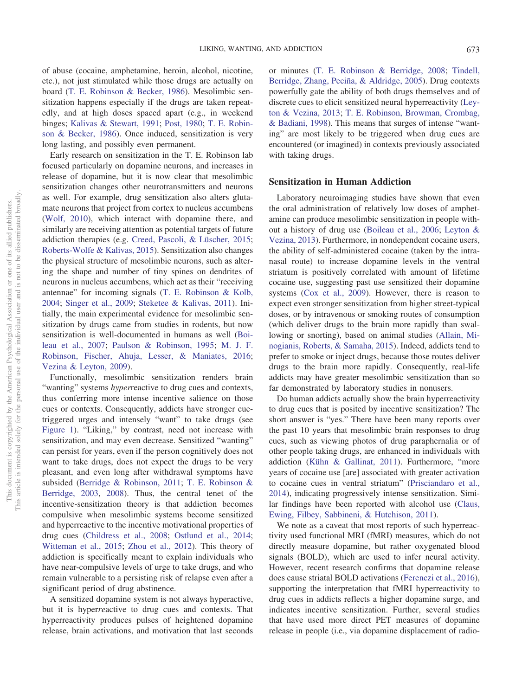of abuse (cocaine, amphetamine, heroin, alcohol, nicotine, etc.), not just stimulated while those drugs are actually on board [\(T. E. Robinson & Becker, 1986\)](#page-8-10). Mesolimbic sensitization happens especially if the drugs are taken repeatedly, and at high doses spaced apart (e.g., in weekend binges; [Kalivas & Stewart, 1991;](#page-7-16) [Post, 1980;](#page-8-11) [T. E. Robin](#page-8-10)[son & Becker, 1986\)](#page-8-10). Once induced, sensitization is very long lasting, and possibly even permanent.

Early research on sensitization in the T. E. Robinson lab focused particularly on dopamine neurons, and increases in release of dopamine, but it is now clear that mesolimbic sensitization changes other neurotransmitters and neurons as well. For example, drug sensitization also alters glutamate neurons that project from cortex to nucleus accumbens [\(Wolf, 2010\)](#page-9-14), which interact with dopamine there, and similarly are receiving attention as potential targets of future addiction therapies (e.g. [Creed, Pascoli, & Lüscher, 2015;](#page-7-17) [Roberts-Wolfe & Kalivas, 2015\)](#page-8-12). Sensitization also changes the physical structure of mesolimbic neurons, such as altering the shape and number of tiny spines on dendrites of neurons in nucleus accumbens, which act as their "receiving antennae" for incoming signals [\(T. E. Robinson & Kolb,](#page-9-15) [2004;](#page-9-15) [Singer et al., 2009;](#page-9-16) [Steketee & Kalivas, 2011\)](#page-9-17). Initially, the main experimental evidence for mesolimbic sensitization by drugs came from studies in rodents, but now sensitization is well-documented in humans as well [\(Boi](#page-7-18)[leau et al., 2007;](#page-7-18) [Paulson & Robinson, 1995;](#page-8-13) [M. J. F.](#page-8-14) [Robinson, Fischer, Ahuja, Lesser, & Maniates, 2016;](#page-8-14) [Vezina & Leyton, 2009\)](#page-9-18).

Functionally, mesolimbic sensitization renders brain "wanting" systems *hyperreactive* to drug cues and contexts, thus conferring more intense incentive salience on those cues or contexts. Consequently, addicts have stronger cuetriggered urges and intensely "want" to take drugs (see [Figure 1\)](#page-1-0). "Liking," by contrast, need not increase with sensitization, and may even decrease. Sensitized "wanting" can persist for years, even if the person cognitively does not want to take drugs, does not expect the drugs to be very pleasant, and even long after withdrawal symptoms have subsided [\(Berridge & Robinson, 2011;](#page-7-19) [T. E. Robinson &](#page-9-19) [Berridge, 2003,](#page-9-19) [2008\)](#page-9-13). Thus, the central tenet of the incentive-sensitization theory is that addiction becomes compulsive when mesolimbic systems become sensitized and hyperreactive to the incentive motivational properties of drug cues [\(Childress et al., 2008;](#page-7-9) [Ostlund et al., 2014;](#page-8-3) [Witteman et al., 2015;](#page-9-20) [Zhou et al., 2012\)](#page-9-7). This theory of addiction is specifically meant to explain individuals who have near-compulsive levels of urge to take drugs, and who remain vulnerable to a persisting risk of relapse even after a significant period of drug abstinence.

A sensitized dopamine system is not always hyperactive, but it is hyper*re*active to drug cues and contexts. That hyperreactivity produces pulses of heightened dopamine release, brain activations, and motivation that last seconds or minutes [\(T. E. Robinson & Berridge, 2008;](#page-9-13) [Tindell,](#page-9-21) [Berridge, Zhang, Peciña, & Aldridge, 2005\)](#page-9-21). Drug contexts powerfully gate the ability of both drugs themselves and of discrete cues to elicit sensitized neural hyperreactivity [\(Ley](#page-8-15)[ton & Vezina, 2013;](#page-8-15) [T. E. Robinson, Browman, Crombag,](#page-9-22) [& Badiani, 1998\)](#page-9-22). This means that surges of intense "wanting" are most likely to be triggered when drug cues are encountered (or imagined) in contexts previously associated with taking drugs.

#### **Sensitization in Human Addiction**

Laboratory neuroimaging studies have shown that even the oral administration of relatively low doses of amphetamine can produce mesolimbic sensitization in people without a history of drug use [\(Boileau et al., 2006;](#page-7-20) [Leyton &](#page-8-15) [Vezina, 2013\)](#page-8-15). Furthermore, in nondependent cocaine users, the ability of self-administered cocaine (taken by the intranasal route) to increase dopamine levels in the ventral striatum is positively correlated with amount of lifetime cocaine use, suggesting past use sensitized their dopamine systems [\(Cox et al., 2009\)](#page-7-21). However, there is reason to expect even stronger sensitization from higher street-typical doses, or by intravenous or smoking routes of consumption (which deliver drugs to the brain more rapidly than swallowing or snorting), based on animal studies [\(Allain, Mi](#page-6-4)[nogianis, Roberts, & Samaha, 2015\)](#page-6-4). Indeed, addicts tend to prefer to smoke or inject drugs, because those routes deliver drugs to the brain more rapidly. Consequently, real-life addicts may have greater mesolimbic sensitization than so far demonstrated by laboratory studies in nonusers.

Do human addicts actually show the brain hyperreactivity to drug cues that is posited by incentive sensitization? The short answer is "yes." There have been many reports over the past 10 years that mesolimbic brain responses to drug cues, such as viewing photos of drug paraphernalia or of other people taking drugs, are enhanced in individuals with addiction [\(Kühn & Gallinat, 2011\)](#page-8-16). Furthermore, "more years of cocaine use [are] associated with greater activation to cocaine cues in ventral striatum" [\(Prisciandaro et al.,](#page-8-17) [2014\)](#page-8-17), indicating progressively intense sensitization. Similar findings have been reported with alcohol use [\(Claus,](#page-7-22) [Ewing, Filbey, Sabbineni, & Hutchison, 2011\)](#page-7-22).

We note as a caveat that most reports of such hyperreactivity used functional MRI (fMRI) measures, which do not directly measure dopamine, but rather oxygenated blood signals (BOLD), which are used to infer neural activity. However, recent research confirms that dopamine release does cause striatal BOLD activations [\(Ferenczi et al., 2016\)](#page-7-23), supporting the interpretation that fMRI hyperreactivity to drug cues in addicts reflects a higher dopamine surge, and indicates incentive sensitization. Further, several studies that have used more direct PET measures of dopamine release in people (i.e., via dopamine displacement of radio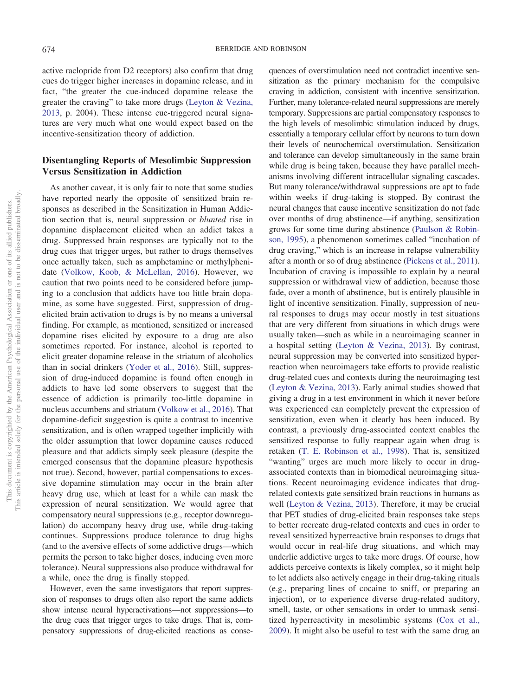active raclopride from D2 receptors) also confirm that drug cues do trigger higher increases in dopamine release, and in fact, "the greater the cue-induced dopamine release the greater the craving" to take more drugs [\(Leyton & Vezina,](#page-8-15) [2013,](#page-8-15) p. 2004). These intense cue-triggered neural signatures are very much what one would expect based on the incentive-sensitization theory of addiction.

## **Disentangling Reports of Mesolimbic Suppression Versus Sensitization in Addiction**

As another caveat, it is only fair to note that some studies have reported nearly the opposite of sensitized brain responses as described in the Sensitization in Human Addiction section that is, neural suppression or *blunted* rise in dopamine displacement elicited when an addict takes a drug. Suppressed brain responses are typically not to the drug cues that trigger urges, but rather to drugs themselves once actually taken, such as amphetamine or methylphenidate [\(Volkow, Koob, & McLellan, 2016\)](#page-9-23). However, we caution that two points need to be considered before jumping to a conclusion that addicts have too little brain dopamine, as some have suggested. First, suppression of drugelicited brain activation to drugs is by no means a universal finding. For example, as mentioned, sensitized or increased dopamine rises elicited by exposure to a drug are also sometimes reported. For instance, alcohol is reported to elicit greater dopamine release in the striatum of alcoholics than in social drinkers [\(Yoder et al., 2016\)](#page-9-24). Still, suppression of drug-induced dopamine is found often enough in addicts to have led some observers to suggest that the essence of addiction is primarily too-little dopamine in nucleus accumbens and striatum [\(Volkow et al., 2016\)](#page-9-23). That dopamine-deficit suggestion is quite a contrast to incentive sensitization, and is often wrapped together implicitly with the older assumption that lower dopamine causes reduced pleasure and that addicts simply seek pleasure (despite the emerged consensus that the dopamine pleasure hypothesis not true). Second, however, partial compensations to excessive dopamine stimulation may occur in the brain after heavy drug use, which at least for a while can mask the expression of neural sensitization. We would agree that compensatory neural suppressions (e.g., receptor downregulation) do accompany heavy drug use, while drug-taking continues. Suppressions produce tolerance to drug highs (and to the aversive effects of some addictive drugs—which permits the person to take higher doses, inducing even more tolerance). Neural suppressions also produce withdrawal for a while, once the drug is finally stopped.

However, even the same investigators that report suppression of responses to drugs often also report the same addicts show intense neural hyperactivations—not suppressions—to the drug cues that trigger urges to take drugs. That is, compensatory suppressions of drug-elicited reactions as consequences of overstimulation need not contradict incentive sensitization as the primary mechanism for the compulsive craving in addiction, consistent with incentive sensitization. Further, many tolerance-related neural suppressions are merely temporary. Suppressions are partial compensatory responses to the high levels of mesolimbic stimulation induced by drugs, essentially a temporary cellular effort by neurons to turn down their levels of neurochemical overstimulation. Sensitization and tolerance can develop simultaneously in the same brain while drug is being taken, because they have parallel mechanisms involving different intracellular signaling cascades. But many tolerance/withdrawal suppressions are apt to fade within weeks if drug-taking is stopped. By contrast the neural changes that cause incentive sensitization do not fade over months of drug abstinence—if anything, sensitization grows for some time during abstinence [\(Paulson & Robin](#page-8-13)[son, 1995\)](#page-8-13), a phenomenon sometimes called "incubation of drug craving," which is an increase in relapse vulnerability after a month or so of drug abstinence [\(Pickens et al., 2011\)](#page-8-18). Incubation of craving is impossible to explain by a neural suppression or withdrawal view of addiction, because those fade, over a month of abstinence, but is entirely plausible in light of incentive sensitization. Finally, suppression of neural responses to drugs may occur mostly in test situations that are very different from situations in which drugs were usually taken—such as while in a neuroimaging scanner in a hospital setting [\(Leyton & Vezina, 2013\)](#page-8-15). By contrast, neural suppression may be converted into sensitized hyperreaction when neuroimagers take efforts to provide realistic drug-related cues and contexts during the neuroimaging test [\(Leyton & Vezina, 2013\)](#page-8-15). Early animal studies showed that giving a drug in a test environment in which it never before was experienced can completely prevent the expression of sensitization, even when it clearly has been induced. By contrast, a previously drug-associated context enables the sensitized response to fully reappear again when drug is retaken [\(T. E. Robinson et al., 1998\)](#page-9-22). That is, sensitized "wanting" urges are much more likely to occur in drugassociated contexts than in biomedical neuroimaging situations. Recent neuroimaging evidence indicates that drugrelated contexts gate sensitized brain reactions in humans as well [\(Leyton & Vezina, 2013\)](#page-8-15). Therefore, it may be crucial that PET studies of drug-elicited brain responses take steps to better recreate drug-related contexts and cues in order to reveal sensitized hyperreactive brain responses to drugs that would occur in real-life drug situations, and which may underlie addictive urges to take more drugs. Of course, how addicts perceive contexts is likely complex, so it might help to let addicts also actively engage in their drug-taking rituals (e.g., preparing lines of cocaine to sniff, or preparing an injection), or to experience diverse drug-related auditory, smell, taste, or other sensations in order to unmask sensitized hyperreactivity in mesolimbic systems [\(Cox et al.,](#page-7-21) [2009\)](#page-7-21). It might also be useful to test with the same drug an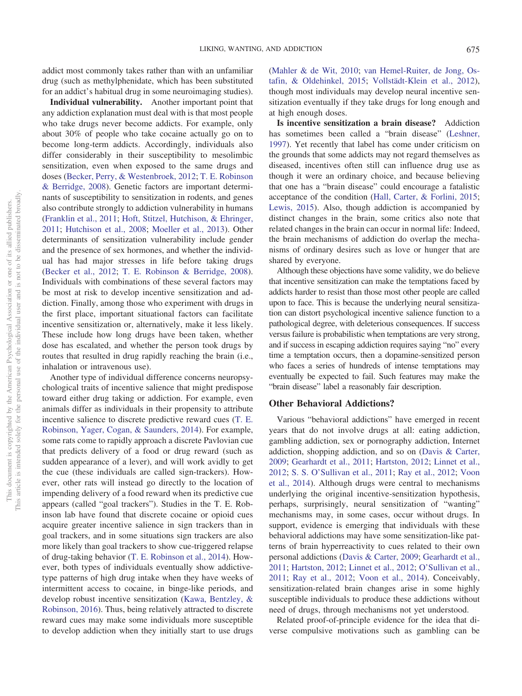addict most commonly takes rather than with an unfamiliar drug (such as methylphenidate, which has been substituted for an addict's habitual drug in some neuroimaging studies).

**Individual vulnerability.** Another important point that any addiction explanation must deal with is that most people who take drugs never become addicts. For example, only about 30% of people who take cocaine actually go on to become long-term addicts. Accordingly, individuals also differ considerably in their susceptibility to mesolimbic sensitization, even when exposed to the same drugs and doses [\(Becker, Perry, & Westenbroek, 2012;](#page-6-5) [T. E. Robinson](#page-9-13) [& Berridge, 2008\)](#page-9-13). Genetic factors are important determinants of susceptibility to sensitization in rodents, and genes also contribute strongly to addiction vulnerability in humans [\(Franklin et al., 2011;](#page-7-24) [Hoft, Stitzel, Hutchison, & Ehringer,](#page-7-25) [2011;](#page-7-25) [Hutchison et al., 2008;](#page-7-26) [Moeller et al., 2013\)](#page-8-19). Other determinants of sensitization vulnerability include gender and the presence of sex hormones, and whether the individual has had major stresses in life before taking drugs [\(Becker et al., 2012;](#page-6-5) [T. E. Robinson & Berridge, 2008\)](#page-9-13). Individuals with combinations of these several factors may be most at risk to develop incentive sensitization and addiction. Finally, among those who experiment with drugs in the first place, important situational factors can facilitate incentive sensitization or, alternatively, make it less likely. These include how long drugs have been taken, whether dose has escalated, and whether the person took drugs by routes that resulted in drug rapidly reaching the brain (i.e., inhalation or intravenous use).

Another type of individual difference concerns neuropsychological traits of incentive salience that might predispose toward either drug taking or addiction. For example, even animals differ as individuals in their propensity to attribute incentive salience to discrete predictive reward cues [\(T. E.](#page-9-25) [Robinson, Yager, Cogan, & Saunders, 2014\)](#page-9-25). For example, some rats come to rapidly approach a discrete Pavlovian cue that predicts delivery of a food or drug reward (such as sudden appearance of a lever), and will work avidly to get the cue (these individuals are called sign-trackers). However, other rats will instead go directly to the location of impending delivery of a food reward when its predictive cue appears (called "goal trackers"). Studies in the T. E. Robinson lab have found that discrete cocaine or opioid cues acquire greater incentive salience in sign trackers than in goal trackers, and in some situations sign trackers are also more likely than goal trackers to show cue-triggered relapse of drug-taking behavior [\(T. E. Robinson et al., 2014\)](#page-9-25). However, both types of individuals eventually show addictivetype patterns of high drug intake when they have weeks of intermittent access to cocaine, in binge-like periods, and develop robust incentive sensitization [\(Kawa, Bentzley, &](#page-7-27) [Robinson, 2016\)](#page-7-27). Thus, being relatively attracted to discrete reward cues may make some individuals more susceptible to develop addiction when they initially start to use drugs

[\(Mahler & de Wit, 2010;](#page-8-20) [van Hemel-Ruiter, de Jong, Os](#page-9-26)[tafin, & Oldehinkel, 2015;](#page-9-26) [Vollstädt-Klein et al., 2012\)](#page-9-27), though most individuals may develop neural incentive sensitization eventually if they take drugs for long enough and at high enough doses.

**Is incentive sensitization a brain disease?** Addiction has sometimes been called a "brain disease" [\(Leshner,](#page-8-21) [1997\)](#page-8-21). Yet recently that label has come under criticism on the grounds that some addicts may not regard themselves as diseased, incentives often still can influence drug use as though it were an ordinary choice, and because believing that one has a "brain disease" could encourage a fatalistic acceptance of the condition [\(Hall, Carter, & Forlini, 2015;](#page-7-28) [Lewis, 2015\)](#page-8-22). Also, though addiction is accompanied by distinct changes in the brain, some critics also note that related changes in the brain can occur in normal life: Indeed, the brain mechanisms of addiction do overlap the mechanisms of ordinary desires such as love or hunger that are shared by everyone.

Although these objections have some validity, we do believe that incentive sensitization can make the temptations faced by addicts harder to resist than those most other people are called upon to face. This is because the underlying neural sensitization can distort psychological incentive salience function to a pathological degree, with deleterious consequences. If success versus failure is probabilistic when temptations are very strong, and if success in escaping addiction requires saying "no" every time a temptation occurs, then a dopamine-sensitized person who faces a series of hundreds of intense temptations may eventually be expected to fail. Such features may make the "brain disease" label a reasonably fair description.

#### **Other Behavioral Addictions?**

Various "behavioral addictions" have emerged in recent years that do not involve drugs at all: eating addiction, gambling addiction, sex or pornography addiction, Internet addiction, shopping addiction, and so on [\(Davis & Carter,](#page-7-29) [2009;](#page-7-29) [Gearhardt et al., 2011;](#page-7-30) [Hartston, 2012;](#page-7-31) [Linnet et al.,](#page-8-23) [2012;](#page-8-23) [S. S. O'Sullivan et al., 2011;](#page-8-24) [Ray et al., 2012;](#page-8-25) [Voon](#page-9-28) [et al., 2014\)](#page-9-28). Although drugs were central to mechanisms underlying the original incentive-sensitization hypothesis, perhaps, surprisingly, neural sensitization of "wanting" mechanisms may, in some cases, occur without drugs. In support, evidence is emerging that individuals with these behavioral addictions may have some sensitization-like patterns of brain hyperreactivity to cues related to their own personal addictions [\(Davis & Carter, 2009;](#page-7-29) [Gearhardt et al.,](#page-7-30) [2011;](#page-7-30) [Hartston, 2012;](#page-7-31) [Linnet et al., 2012;](#page-8-23) [O'Sullivan et al.,](#page-8-24) [2011;](#page-8-24) [Ray et al., 2012;](#page-8-25) [Voon et al., 2014\)](#page-9-28). Conceivably, sensitization-related brain changes arise in some highly susceptible individuals to produce these addictions without need of drugs, through mechanisms not yet understood.

Related proof-of-principle evidence for the idea that diverse compulsive motivations such as gambling can be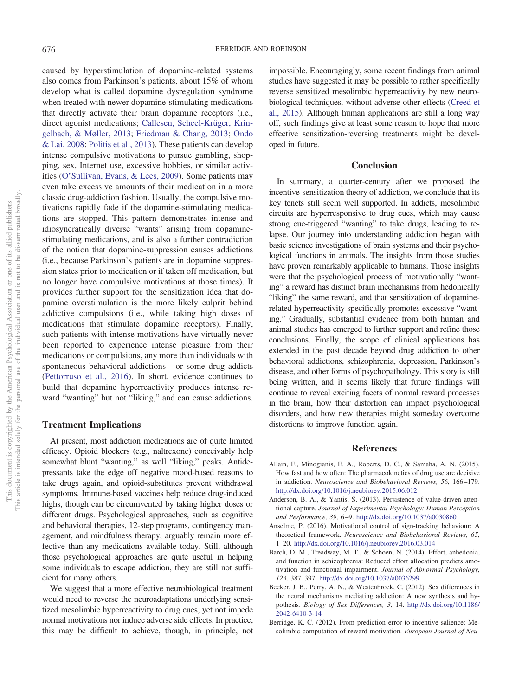caused by hyperstimulation of dopamine-related systems also comes from Parkinson's patients, about 15% of whom develop what is called dopamine dysregulation syndrome when treated with newer dopamine-stimulating medications that directly activate their brain dopamine receptors (i.e., direct agonist medications; [Callesen, Scheel-Krüger, Krin](#page-7-32)[gelbach, & Møller, 2013;](#page-7-32) [Friedman & Chang, 2013;](#page-7-33) [Ondo](#page-8-26) [& Lai, 2008;](#page-8-26) [Politis et al., 2013\)](#page-8-27). These patients can develop intense compulsive motivations to pursue gambling, shopping, sex, Internet use, excessive hobbies, or similar activities [\(O'Sullivan, Evans, & Lees, 2009\)](#page-8-28). Some patients may even take excessive amounts of their medication in a more classic drug-addiction fashion. Usually, the compulsive motivations rapidly fade if the dopamine-stimulating medications are stopped. This pattern demonstrates intense and idiosyncratically diverse "wants" arising from dopaminestimulating medications, and is also a further contradiction of the notion that dopamine-suppression causes addictions (i.e., because Parkinson's patients are in dopamine suppression states prior to medication or if taken off medication, but no longer have compulsive motivations at those times). It provides further support for the sensitization idea that dopamine overstimulation is the more likely culprit behind addictive compulsions (i.e., while taking high doses of medications that stimulate dopamine receptors). Finally, such patients with intense motivations have virtually never been reported to experience intense pleasure from their medications or compulsions, any more than individuals with spontaneous behavioral addictions— or some drug addicts [\(Pettorruso et al., 2016\)](#page-8-29). In short, evidence continues to build that dopamine hyperreactivity produces intense reward "wanting" but not "liking," and can cause addictions.

## **Treatment Implications**

At present, most addiction medications are of quite limited efficacy. Opioid blockers (e.g., naltrexone) conceivably help somewhat blunt "wanting," as well "liking," peaks. Antidepressants take the edge off negative mood-based reasons to take drugs again, and opioid-substitutes prevent withdrawal symptoms. Immune-based vaccines help reduce drug-induced highs, though can be circumvented by taking higher doses or different drugs. Psychological approaches, such as cognitive and behavioral therapies, 12-step programs, contingency management, and mindfulness therapy, arguably remain more effective than any medications available today. Still, although those psychological approaches are quite useful in helping some individuals to escape addiction, they are still not sufficient for many others.

We suggest that a more effective neurobiological treatment would need to reverse the neuroadaptations underlying sensitized mesolimbic hyperreactivity to drug cues, yet not impede normal motivations nor induce adverse side effects. In practice, this may be difficult to achieve, though, in principle, not impossible. Encouragingly, some recent findings from animal studies have suggested it may be possible to rather specifically reverse sensitized mesolimbic hyperreactivity by new neurobiological techniques, without adverse other effects [\(Creed et](#page-7-17) [al., 2015\)](#page-7-17). Although human applications are still a long way off, such findings give at least some reason to hope that more effective sensitization-reversing treatments might be developed in future.

## **Conclusion**

In summary, a quarter-century after we proposed the incentive-sensitization theory of addiction, we conclude that its key tenets still seem well supported. In addicts, mesolimbic circuits are hyperresponsive to drug cues, which may cause strong cue-triggered "wanting" to take drugs, leading to relapse. Our journey into understanding addiction began with basic science investigations of brain systems and their psychological functions in animals. The insights from those studies have proven remarkably applicable to humans. Those insights were that the psychological process of motivationally "wanting" a reward has distinct brain mechanisms from hedonically "liking" the same reward, and that sensitization of dopaminerelated hyperreactivity specifically promotes excessive "wanting." Gradually, substantial evidence from both human and animal studies has emerged to further support and refine those conclusions. Finally, the scope of clinical applications has extended in the past decade beyond drug addiction to other behavioral addictions, schizophrenia, depression, Parkinson's disease, and other forms of psychopathology. This story is still being written, and it seems likely that future findings will continue to reveal exciting facets of normal reward processes in the brain, how their distortion can impact psychological disorders, and how new therapies might someday overcome distortions to improve function again.

### **References**

- <span id="page-6-4"></span>Allain, F., Minogianis, E. A., Roberts, D. C., & Samaha, A. N. (2015). How fast and how often: The pharmacokinetics of drug use are decisive in addiction. *Neuroscience and Biobehavioral Reviews, 56,* 166 –179. <http://dx.doi.org/10.1016/j.neubiorev.2015.06.012>
- <span id="page-6-1"></span>Anderson, B. A., & Yantis, S. (2013). Persistence of value-driven attentional capture. *Journal of Experimental Psychology: Human Perception and Performance, 39,* 6 –9. <http://dx.doi.org/10.1037/a0030860>
- <span id="page-6-2"></span>Anselme, P. (2016). Motivational control of sign-tracking behaviour: A theoretical framework. *Neuroscience and Biobehavioral Reviews, 65,* 1–20. <http://dx.doi.org/10.1016/j.neubiorev.2016.03.014>
- <span id="page-6-3"></span>Barch, D. M., Treadway, M. T., & Schoen, N. (2014). Effort, anhedonia, and function in schizophrenia: Reduced effort allocation predicts amotivation and functional impairment. *Journal of Abnormal Psychology, 123,* 387–397. <http://dx.doi.org/10.1037/a0036299>
- <span id="page-6-5"></span>Becker, J. B., Perry, A. N., & Westenbroek, C. (2012). Sex differences in the neural mechanisms mediating addiction: A new synthesis and hypothesis. *Biology of Sex Differences, 3,* 14. [http://dx.doi.org/10.1186/](http://dx.doi.org/10.1186/2042-6410-3-14) [2042-6410-3-14](http://dx.doi.org/10.1186/2042-6410-3-14)
- <span id="page-6-0"></span>Berridge, K. C. (2012). From prediction error to incentive salience: Mesolimbic computation of reward motivation. *European Journal of Neu-*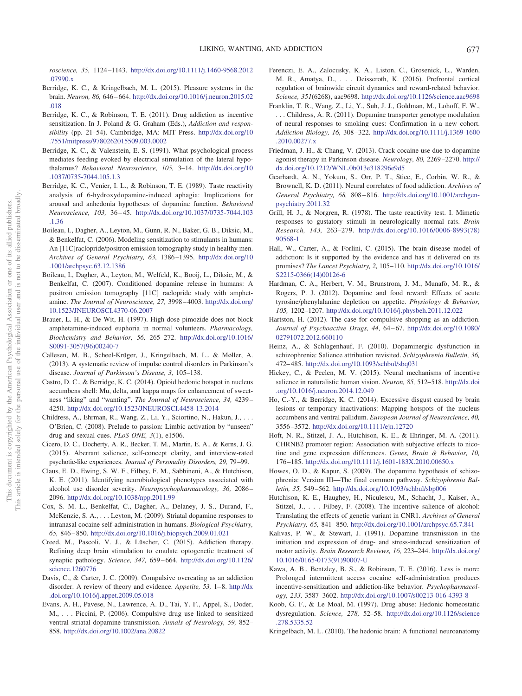*roscience, 35,* 1124 –1143. [http://dx.doi.org/10.1111/j.1460-9568.2012](http://dx.doi.org/10.1111/j.1460-9568.2012.07990.x) [.07990.x](http://dx.doi.org/10.1111/j.1460-9568.2012.07990.x)

- <span id="page-7-4"></span>Berridge, K. C., & Kringelbach, M. L. (2015). Pleasure systems in the brain. *Neuron, 86,* 646 – 664. [http://dx.doi.org/10.1016/j.neuron.2015.02](http://dx.doi.org/10.1016/j.neuron.2015.02.018) [.018](http://dx.doi.org/10.1016/j.neuron.2015.02.018)
- <span id="page-7-19"></span>Berridge, K. C., & Robinson, T. E. (2011). Drug addiction as incentive sensitization. In J. Poland & G. Graham (Eds.), *Addiction and responsibility* (pp. 21–54). Cambridge, MA: MIT Press. [http://dx.doi.org/10](http://dx.doi.org/10.7551/mitpress/9780262015509.003.0002) [.7551/mitpress/9780262015509.003.0002](http://dx.doi.org/10.7551/mitpress/9780262015509.003.0002)
- <span id="page-7-3"></span>Berridge, K. C., & Valenstein, E. S. (1991). What psychological process mediates feeding evoked by electrical stimulation of the lateral hypothalamus? *Behavioral Neuroscience, 105,* 3–14. [http://dx.doi.org/10](http://dx.doi.org/10.1037/0735-7044.105.1.3) [.1037/0735-7044.105.1.3](http://dx.doi.org/10.1037/0735-7044.105.1.3)
- <span id="page-7-0"></span>Berridge, K. C., Venier, I. L., & Robinson, T. E. (1989). Taste reactivity analysis of 6-hydroxydopamine-induced aphagia: Implications for arousal and anhedonia hypotheses of dopamine function. *Behavioral Neuroscience, 103,* 36 – 45. [http://dx.doi.org/10.1037/0735-7044.103](http://dx.doi.org/10.1037/0735-7044.103.1.36) [.1.36](http://dx.doi.org/10.1037/0735-7044.103.1.36)
- <span id="page-7-20"></span>Boileau, I., Dagher, A., Leyton, M., Gunn, R. N., Baker, G. B., Diksic, M., & Benkelfat, C. (2006). Modeling sensitization to stimulants in humans: An [11C]raclopride/positron emission tomography study in healthy men. *Archives of General Psychiatry, 63,* 1386 –1395. [http://dx.doi.org/10](http://dx.doi.org/10.1001/archpsyc.63.12.1386) [.1001/archpsyc.63.12.1386](http://dx.doi.org/10.1001/archpsyc.63.12.1386)
- <span id="page-7-18"></span>Boileau, I., Dagher, A., Leyton, M., Welfeld, K., Booij, L., Diksic, M., & Benkelfat, C. (2007). Conditioned dopamine release in humans: A positron emission tomography [11C] raclopride study with amphetamine. *The Journal of Neuroscience, 27,* 3998 – 4003. [http://dx.doi.org/](http://dx.doi.org/10.1523/JNEUROSCI.4370-06.2007) [10.1523/JNEUROSCI.4370-06.2007](http://dx.doi.org/10.1523/JNEUROSCI.4370-06.2007)
- <span id="page-7-5"></span>Brauer, L. H., & De Wit, H. (1997). High dose pimozide does not block amphetamine-induced euphoria in normal volunteers. *Pharmacology, Biochemistry and Behavior, 56,* 265–272. [http://dx.doi.org/10.1016/](http://dx.doi.org/10.1016/S0091-3057%2896%2900240-7) [S0091-3057\(96\)00240-7](http://dx.doi.org/10.1016/S0091-3057%2896%2900240-7)
- <span id="page-7-32"></span>Callesen, M. B., Scheel-Krüger, J., Kringelbach, M. L., & Møller, A. (2013). A systematic review of impulse control disorders in Parkinson's disease. *Journal of Parkinson's Disease, 3,* 105–138.
- <span id="page-7-13"></span>Castro, D. C., & Berridge, K. C. (2014). Opioid hedonic hotspot in nucleus accumbens shell: Mu, delta, and kappa maps for enhancement of sweetness "liking" and "wanting". *The Journal of Neuroscience, 34,* 4239 – 4250. <http://dx.doi.org/10.1523/JNEUROSCI.4458-13.2014>
- <span id="page-7-9"></span>Childress, A., Ehrman, R., Wang, Z., Li, Y., Sciortino, N., Hakun, J.,... O'Brien, C. (2008). Prelude to passion: Limbic activation by "unseen" drug and sexual cues. *PLoS ONE, 3*(1), e1506.
- <span id="page-7-12"></span>Cicero, D. C., Docherty, A. R., Becker, T. M., Martin, E. A., & Kerns, J. G. (2015). Aberrant salience, self-concept clarity, and interview-rated psychotic-like experiences. *Journal of Personality Disorders, 29,* 79 –99.
- <span id="page-7-22"></span>Claus, E. D., Ewing, S. W. F., Filbey, F. M., Sabbineni, A., & Hutchison, K. E. (2011). Identifying neurobiological phenotypes associated with alcohol use disorder severity. *Neuropsychopharmacology, 36,* 2086 – 2096. <http://dx.doi.org/10.1038/npp.2011.99>
- <span id="page-7-21"></span>Cox, S. M. L., Benkelfat, C., Dagher, A., Delaney, J. S., Durand, F., McKenzie, S. A.,... Leyton, M. (2009). Striatal dopamine responses to intranasal cocaine self-administration in humans. *Biological Psychiatry, 65,* 846 – 850. <http://dx.doi.org/10.1016/j.biopsych.2009.01.021>
- <span id="page-7-17"></span>Creed, M., Pascoli, V. J., & Lüscher, C. (2015). Addiction therapy. Refining deep brain stimulation to emulate optogenetic treatment of synaptic pathology. *Science, 347,* 659 – 664. [http://dx.doi.org/10.1126/](http://dx.doi.org/10.1126/science.1260776) [science.1260776](http://dx.doi.org/10.1126/science.1260776)
- <span id="page-7-29"></span>Davis, C., & Carter, J. C. (2009). Compulsive overeating as an addiction disorder. A review of theory and evidence. *Appetite, 53,* 1– 8. [http://dx](http://dx.doi.org/10.1016/j.appet.2009.05.018) [.doi.org/10.1016/j.appet.2009.05.018](http://dx.doi.org/10.1016/j.appet.2009.05.018)
- <span id="page-7-7"></span>Evans, A. H., Pavese, N., Lawrence, A. D., Tai, Y. F., Appel, S., Doder, M., . . . Piccini, P. (2006). Compulsive drug use linked to sensitized ventral striatal dopamine transmission. *Annals of Neurology, 59,* 852– 858. <http://dx.doi.org/10.1002/ana.20822>
- <span id="page-7-23"></span>Ferenczi, E. A., Zalocusky, K. A., Liston, C., Grosenick, L., Warden, M. R., Amatya, D.,... Deisseroth, K. (2016). Prefrontal cortical regulation of brainwide circuit dynamics and reward-related behavior. *Science, 351*(6268), aac9698. <http://dx.doi.org/10.1126/science.aac9698>
- <span id="page-7-24"></span>Franklin, T. R., Wang, Z., Li, Y., Suh, J. J., Goldman, M., Lohoff, F. W., . . . Childress, A. R. (2011). Dopamine transporter genotype modulation of neural responses to smoking cues: Confirmation in a new cohort. *Addiction Biology, 16,* 308 –322. [http://dx.doi.org/10.1111/j.1369-1600](http://dx.doi.org/10.1111/j.1369-1600.2010.00277.x) [.2010.00277.x](http://dx.doi.org/10.1111/j.1369-1600.2010.00277.x)
- <span id="page-7-33"></span>Friedman, J. H., & Chang, V. (2013). Crack cocaine use due to dopamine agonist therapy in Parkinson disease. *Neurology, 80,* 2269 –2270. [http://](http://dx.doi.org/10.1212/WNL.0b013e318296e9d5) [dx.doi.org/10.1212/WNL.0b013e318296e9d5](http://dx.doi.org/10.1212/WNL.0b013e318296e9d5)
- <span id="page-7-30"></span>Gearhardt, A. N., Yokum, S., Orr, P. T., Stice, E., Corbin, W. R., & Brownell, K. D. (2011). Neural correlates of food addiction. *Archives of General Psychiatry, 68,* 808 – 816. [http://dx.doi.org/10.1001/archgen](http://dx.doi.org/10.1001/archgenpsychiatry.2011.32)[psychiatry.2011.32](http://dx.doi.org/10.1001/archgenpsychiatry.2011.32)
- <span id="page-7-2"></span>Grill, H. J., & Norgren, R. (1978). The taste reactivity test. I. Mimetic responses to gustatory stimuli in neurologically normal rats. *Brain Research, 143,* 263–279. [http://dx.doi.org/10.1016/0006-8993\(78\)](http://dx.doi.org/10.1016/0006-8993%2878%2990568-1) [90568-1](http://dx.doi.org/10.1016/0006-8993%2878%2990568-1)
- <span id="page-7-28"></span>Hall, W., Carter, A., & Forlini, C. (2015). The brain disease model of addiction: Is it supported by the evidence and has it delivered on its promises? *The Lancet Psychiatry, 2,* 105–110. [http://dx.doi.org/10.1016/](http://dx.doi.org/10.1016/S2215-0366%2814%2900126-6) [S2215-0366\(14\)00126-6](http://dx.doi.org/10.1016/S2215-0366%2814%2900126-6)
- <span id="page-7-6"></span>Hardman, C. A., Herbert, V. M., Brunstrom, J. M., Munafò, M. R., & Rogers, P. J. (2012). Dopamine and food reward: Effects of acute tyrosine/phenylalanine depletion on appetite. *Physiology & Behavior, 105,* 1202–1207. <http://dx.doi.org/10.1016/j.physbeh.2011.12.022>
- <span id="page-7-31"></span>Hartston, H. (2012). The case for compulsive shopping as an addiction. *Journal of Psychoactive Drugs, 44,* 64 – 67. [http://dx.doi.org/10.1080/](http://dx.doi.org/10.1080/02791072.2012.660110) [02791072.2012.660110](http://dx.doi.org/10.1080/02791072.2012.660110)
- <span id="page-7-10"></span>Heinz, A., & Schlagenhauf, F. (2010). Dopaminergic dysfunction in schizophrenia: Salience attribution revisited. *Schizophrenia Bulletin, 36,* 472– 485. <http://dx.doi.org/10.1093/schbul/sbq031>
- <span id="page-7-8"></span>Hickey, C., & Peelen, M. V. (2015). Neural mechanisms of incentive salience in naturalistic human vision. *Neuron, 85,* 512–518. [http://dx.doi](http://dx.doi.org/10.1016/j.neuron.2014.12.049) [.org/10.1016/j.neuron.2014.12.049](http://dx.doi.org/10.1016/j.neuron.2014.12.049)
- <span id="page-7-15"></span>Ho, C.-Y., & Berridge, K. C. (2014). Excessive disgust caused by brain lesions or temporary inactivations: Mapping hotspots of the nucleus accumbens and ventral pallidum. *European Journal of Neuroscience, 40,* 3556 –3572. <http://dx.doi.org/10.1111/ejn.12720>
- <span id="page-7-25"></span>Hoft, N. R., Stitzel, J. A., Hutchison, K. E., & Ehringer, M. A. (2011). CHRNB2 promoter region: Association with subjective effects to nicotine and gene expression differences. *Genes, Brain & Behavior, 10,* 176 –185. <http://dx.doi.org/10.1111/j.1601-183X.2010.00650.x>
- <span id="page-7-11"></span>Howes, O. D., & Kapur, S. (2009). The dopamine hypothesis of schizophrenia: Version III—The final common pathway. *Schizophrenia Bulletin, 35,* 549 –562. <http://dx.doi.org/10.1093/schbul/sbp006>
- <span id="page-7-26"></span>Hutchison, K. E., Haughey, H., Niculescu, M., Schacht, J., Kaiser, A., Stitzel, J.,... Filbey, F. (2008). The incentive salience of alcohol: Translating the effects of genetic variant in CNR1. *Archives of General Psychiatry, 65,* 841– 850. <http://dx.doi.org/10.1001/archpsyc.65.7.841>
- <span id="page-7-16"></span>Kalivas, P. W., & Stewart, J. (1991). Dopamine transmission in the initiation and expression of drug- and stress-induced sensitization of motor activity. *Brain Research Reviews, 16,* 223–244. [http://dx.doi.org/](http://dx.doi.org/10.1016/0165-0173%2891%2990007-U) [10.1016/0165-0173\(91\)90007-U](http://dx.doi.org/10.1016/0165-0173%2891%2990007-U)
- <span id="page-7-27"></span>Kawa, A. B., Bentzley, B. S., & Robinson, T. E. (2016). Less is more: Prolonged intermittent access cocaine self-administration produces incentive-sensitization and addiction-like behavior. *Psychopharmacology, 233,* 3587–3602. <http://dx.doi.org/10.1007/s00213-016-4393-8>
- <span id="page-7-1"></span>Koob, G. F., & Le Moal, M. (1997). Drug abuse: Hedonic homeostatic dysregulation. *Science, 278,* 52–58. [http://dx.doi.org/10.1126/science](http://dx.doi.org/10.1126/science.278.5335.52) [.278.5335.52](http://dx.doi.org/10.1126/science.278.5335.52)
- <span id="page-7-14"></span>Kringelbach, M. L. (2010). The hedonic brain: A functional neuroanatomy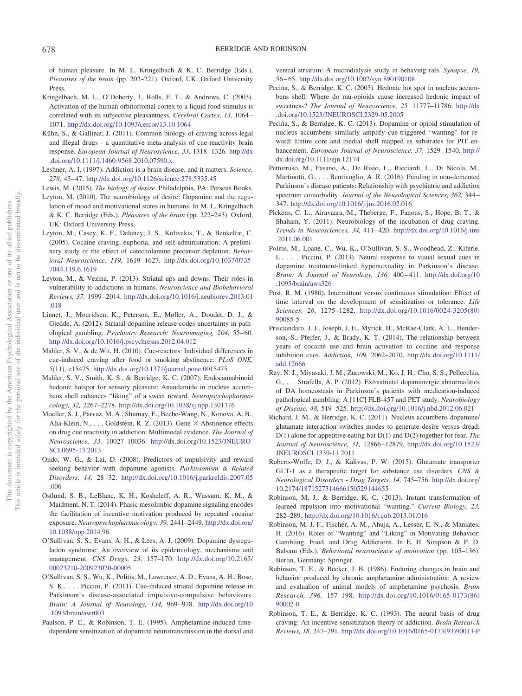of human pleasure. In M. L. Kringelbach & K. C. Berridge (Eds.), *Pleasures of the brain* (pp. 202–221). Oxford, UK: Oxford University Press.

- <span id="page-8-9"></span>Kringelbach, M. L., O'Doherty, J., Rolls, E. T., & Andrews, C. (2003). Activation of the human orbitofrontal cortex to a liquid food stimulus is correlated with its subjective pleasantness. *Cerebral Cortex, 13,* 1064 – 1071. <http://dx.doi.org/10.1093/cercor/13.10.1064>
- <span id="page-8-16"></span>Kühn, S., & Gallinat, J. (2011). Common biology of craving across legal and illegal drugs - a quantitative meta-analysis of cue-reactivity brain response. *European Journal of Neuroscience, 33,* 1318 –1326. [http://dx](http://dx.doi.org/10.1111/j.1460-9568.2010.07590.x) [.doi.org/10.1111/j.1460-9568.2010.07590.x](http://dx.doi.org/10.1111/j.1460-9568.2010.07590.x)
- <span id="page-8-21"></span>Leshner, A. I. (1997). Addiction is a brain disease, and it matters. *Science, 278,* 45– 47. <http://dx.doi.org/10.1126/science.278.5335.45>
- <span id="page-8-22"></span><span id="page-8-2"></span>Lewis, M. (2015). *The biology of desire*. Philadelphia, PA: Perseus Books. Leyton, M. (2010). The neurobiology of desire: Dopamine and the regulation of mood and motivational states in humans. In M. L. Kringelbach & K. C. Berridge (Eds.), *Pleasures of the brain* (pp. 222–243). Oxford, UK: Oxford University Press.
- <span id="page-8-1"></span>Leyton, M., Casey, K. F., Delaney, J. S., Kolivakis, T., & Benkelfat, C. (2005). Cocaine craving, euphoria, and self-administration: A preliminary study of the effect of catecholamine precursor depletion. *Behavioral Neuroscience, 119,* 1619 –1627. [http://dx.doi.org/10.1037/0735-](http://dx.doi.org/10.1037/0735-7044.119.6.1619) [7044.119.6.1619](http://dx.doi.org/10.1037/0735-7044.119.6.1619)
- <span id="page-8-15"></span>Leyton, M., & Vezina, P. (2013). Striatal ups and downs: Their roles in vulnerability to addictions in humans. *Neuroscience and Biobehavioral Reviews, 37,* 1999 –2014. [http://dx.doi.org/10.1016/j.neubiorev.2013.01](http://dx.doi.org/10.1016/j.neubiorev.2013.01.018) [.018](http://dx.doi.org/10.1016/j.neubiorev.2013.01.018)
- <span id="page-8-23"></span>Linnet, J., Mouridsen, K., Peterson, E., Møller, A., Doudet, D. J., & Gjedde, A. (2012). Striatal dopamine release codes uncertainty in pathological gambling. *Psychiatry Research: Neuroimaging, 204,* 55– 60. <http://dx.doi.org/10.1016/j.pscychresns.2012.04.012>
- <span id="page-8-20"></span>Mahler, S. V., & de Wit, H. (2010). Cue-reactors: Individual differences in cue-induced craving after food or smoking abstinence. *PLoS ONE, 5*(11), e15475. <http://dx.doi.org/10.1371/journal.pone.0015475>
- <span id="page-8-7"></span>Mahler, S. V., Smith, K. S., & Berridge, K. C. (2007). Endocannabinoid hedonic hotspot for sensory pleasure: Anandamide in nucleus accumbens shell enhances "liking" of a sweet reward. *Neuropsychopharmacology, 32,* 2267–2278. <http://dx.doi.org/10.1038/sj.npp.1301376>
- <span id="page-8-19"></span>Moeller, S. J., Parvaz, M. A., Shumay, E., Beebe-Wang, N., Konova, A. B., Alia-Klein, N.,... Goldstein, R. Z. (2013). Gene × Abstinence effects on drug cue reactivity in addiction: Multimodal evidence. *The Journal of Neuroscience, 33,* 10027–10036. [http://dx.doi.org/10.1523/JNEURO-](http://dx.doi.org/10.1523/JNEUROSCI.0695-13.2013)[SCI.0695-13.2013](http://dx.doi.org/10.1523/JNEUROSCI.0695-13.2013)
- <span id="page-8-26"></span>Ondo, W. G., & Lai, D. (2008). Predictors of impulsivity and reward seeking behavior with dopamine agonists. *Parkinsonism & Related Disorders, 14,* 28 –32. [http://dx.doi.org/10.1016/j.parkreldis.2007.05](http://dx.doi.org/10.1016/j.parkreldis.2007.05.006) [.006](http://dx.doi.org/10.1016/j.parkreldis.2007.05.006)
- <span id="page-8-3"></span>Ostlund, S. B., LeBlanc, K. H., Kosheleff, A. R., Wassum, K. M., & Maidment, N. T. (2014). Phasic mesolimbic dopamine signaling encodes the facilitation of incentive motivation produced by repeated cocaine exposure. *Neuropsychopharmacology, 39,* 2441–2449. [http://dx.doi.org/](http://dx.doi.org/10.1038/npp.2014.96) [10.1038/npp.2014.96](http://dx.doi.org/10.1038/npp.2014.96)
- <span id="page-8-28"></span>O'Sullivan, S. S., Evans, A. H., & Lees, A. J. (2009). Dopamine dysregulation syndrome: An overview of its epidemiology, mechanisms and management. *CNS Drugs, 23,* 157–170. [http://dx.doi.org/10.2165/](http://dx.doi.org/10.2165/00023210-200923020-00005) [00023210-200923020-00005](http://dx.doi.org/10.2165/00023210-200923020-00005)
- <span id="page-8-24"></span>O'Sullivan, S. S., Wu, K., Politis, M., Lawrence, A. D., Evans, A. H., Bose, S. K., . . . Piccini, P. (2011). Cue-induced striatal dopamine release in Parkinson's disease-associated impulsive-compulsive behaviours. *Brain: A Journal of Neurology, 134,* 969 –978. [http://dx.doi.org/10](http://dx.doi.org/10.1093/brain/awr003) [.1093/brain/awr003](http://dx.doi.org/10.1093/brain/awr003)
- <span id="page-8-13"></span>Paulson, P. E., & Robinson, T. E. (1995). Amphetamine-induced timedependent sensitization of dopamine neurotransmission in the dorsal and

ventral striatum: A microdialysis study in behaving rats. *Synapse, 19,* 56 – 65. <http://dx.doi.org/10.1002/syn.890190108>

- <span id="page-8-8"></span>Peciña, S., & Berridge, K. C. (2005). Hedonic hot spot in nucleus accumbens shell: Where do mu-opioids cause increased hedonic impact of sweetness? *The Journal of Neuroscience, 25,* 11777–11786. [http://dx](http://dx.doi.org/10.1523/JNEUROSCI.2329-05.2005) [.doi.org/10.1523/JNEUROSCI.2329-05.2005](http://dx.doi.org/10.1523/JNEUROSCI.2329-05.2005)
- <span id="page-8-4"></span>Peciña, S., & Berridge, K. C. (2013). Dopamine or opioid stimulation of nucleus accumbens similarly amplify cue-triggered "wanting" for reward: Entire core and medial shell mapped as substrates for PIT enhancement. *European Journal of Neuroscience, 37,* 1529 –1540. [http://](http://dx.doi.org/10.1111/ejn.12174) [dx.doi.org/10.1111/ejn.12174](http://dx.doi.org/10.1111/ejn.12174)
- <span id="page-8-29"></span>Pettorruso, M., Fasano, A., De Risio, L., Ricciardi, L., Di Nicola, M., Martinotti, G.,... Bentivoglio, A. R. (2016). Punding in non-demented Parkinson's disease patients: Relationship with psychiatric and addiction spectrum comorbidity. *Journal of the Neurological Sciences, 362,* 344 – 347. <http://dx.doi.org/10.1016/j.jns.2016.02.016>
- <span id="page-8-18"></span>Pickens, C. L., Airavaara, M., Theberge, F., Fanous, S., Hope, B. T., & Shaham, Y. (2011). Neurobiology of the incubation of drug craving. *Trends in Neurosciences, 34,* 411– 420. [http://dx.doi.org/10.1016/j.tins](http://dx.doi.org/10.1016/j.tins.2011.06.001) [.2011.06.001](http://dx.doi.org/10.1016/j.tins.2011.06.001)
- <span id="page-8-27"></span>Politis, M., Loane, C., Wu, K., O'Sullivan, S. S., Woodhead, Z., Kiferle, L., . . . Piccini, P. (2013). Neural response to visual sexual cues in dopamine treatment-linked hypersexuality in Parkinson's disease. *Brain: A Journal of Neurology, 136,* 400 – 411. [http://dx.doi.org/10](http://dx.doi.org/10.1093/brain/aws326) [.1093/brain/aws326](http://dx.doi.org/10.1093/brain/aws326)
- <span id="page-8-11"></span>Post, R. M. (1980). Intermittent versus continuous stimulation: Effect of time interval on the development of sensitization or tolerance. *Life Sciences, 26,* 1275–1282. [http://dx.doi.org/10.1016/0024-3205\(80\)](http://dx.doi.org/10.1016/0024-3205%2880%2990085-5) [90085-5](http://dx.doi.org/10.1016/0024-3205%2880%2990085-5)
- <span id="page-8-17"></span>Prisciandaro, J. J., Joseph, J. E., Myrick, H., McRae-Clark, A. L., Henderson, S., Pfeifer, J., & Brady, K. T. (2014). The relationship between years of cocaine use and brain activation to cocaine and response inhibition cues. *Addiction, 109,* 2062–2070. [http://dx.doi.org/10.1111/](http://dx.doi.org/10.1111/add.12666) [add.12666](http://dx.doi.org/10.1111/add.12666)
- <span id="page-8-25"></span>Ray, N. J., Miyasaki, J. M., Zurowski, M., Ko, J. H., Cho, S. S., Pellecchia, G., . . . Strafella, A. P. (2012). Extrastriatal dopaminergic abnormalities of DA homeostasis in Parkinson's patients with medication-induced pathological gambling: A [11C] FLB-457 and PET study. *Neurobiology of Disease, 48,* 519 –525. <http://dx.doi.org/10.1016/j.nbd.2012.06.021>
- <span id="page-8-6"></span>Richard, J. M., & Berridge, K. C. (2011). Nucleus accumbens dopamine/ glutamate interaction switches modes to generate desire versus dread: D(1) alone for appetitive eating but D(1) and D(2) together for fear. *The Journal of Neuroscience, 31,* 12866 –12879. [http://dx.doi.org/10.1523/](http://dx.doi.org/10.1523/JNEUROSCI.1339-11.2011) [JNEUROSCI.1339-11.2011](http://dx.doi.org/10.1523/JNEUROSCI.1339-11.2011)
- <span id="page-8-12"></span>Roberts-Wolfe, D. J., & Kalivas, P. W. (2015). Glutamate transporter GLT-1 as a therapeutic target for substance use disorders. *CNS & Neurological Disorders - Drug Targets, 14,* 745–756. [http://dx.doi.org/](http://dx.doi.org/10.2174/1871527314666150529144655) [10.2174/1871527314666150529144655](http://dx.doi.org/10.2174/1871527314666150529144655)
- <span id="page-8-5"></span>Robinson, M. J., & Berridge, K. C. (2013). Instant transformation of learned repulsion into motivational "wanting." *Current Biology, 23,* 282–289. <http://dx.doi.org/10.1016/j.cub.2013.01.016>
- <span id="page-8-14"></span>Robinson, M. J. F., Fischer, A. M., Ahuja, A., Lesser, E. N., & Maniates, H. (2016). Roles of "Wanting" and "Liking" in Motivating Behavior: Gambling, Food, and Drug Addictions. In E. H. Simpson & P. D. Balsam (Eds.), *Behavioral neuroscience of motivation* (pp. 105–136). Berlin, Germany: Springer.
- <span id="page-8-10"></span>Robinson, T. E., & Becker, J. B. (1986). Enduring changes in brain and behavior produced by chronic amphetamine administration: A review and evaluation of animal models of amphetamine psychosis. *Brain Research, 396,* 157–198. [http://dx.doi.org/10.1016/0165-0173\(86\)](http://dx.doi.org/10.1016/0165-0173%2886%2990002-0) [90002-0](http://dx.doi.org/10.1016/0165-0173%2886%2990002-0)
- <span id="page-8-0"></span>Robinson, T. E., & Berridge, K. C. (1993). The neural basis of drug craving: An incentive-sensitization theory of addiction. *Brain Research Reviews, 18,* 247–291. [http://dx.doi.org/10.1016/0165-0173\(93\)90013-P](http://dx.doi.org/10.1016/0165-0173%2893%2990013-P)